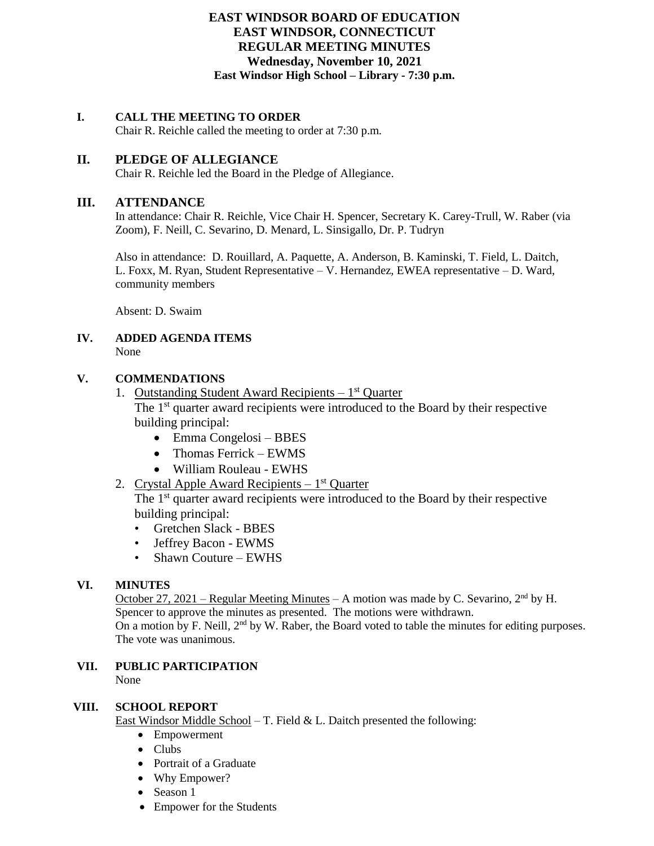## **EAST WINDSOR BOARD OF EDUCATION EAST WINDSOR, CONNECTICUT REGULAR MEETING MINUTES Wednesday, November 10, 2021 East Windsor High School – Library - 7:30 p.m.**

## **I. CALL THE MEETING TO ORDER**

Chair R. Reichle called the meeting to order at 7:30 p.m.

## **II. PLEDGE OF ALLEGIANCE**

Chair R. Reichle led the Board in the Pledge of Allegiance.

#### **III. ATTENDANCE**

In attendance: Chair R. Reichle, Vice Chair H. Spencer, Secretary K. Carey-Trull, W. Raber (via Zoom), F. Neill, C. Sevarino, D. Menard, L. Sinsigallo, Dr. P. Tudryn

Also in attendance: D. Rouillard, A. Paquette, A. Anderson, B. Kaminski, T. Field, L. Daitch, L. Foxx, M. Ryan, Student Representative – V. Hernandez, EWEA representative – D. Ward, community members

Absent: D. Swaim

#### **IV. ADDED AGENDA ITEMS** None

## **V. COMMENDATIONS**

- 1. Outstanding Student Award Recipients 1<sup>st</sup> Quarter The 1<sup>st</sup> quarter award recipients were introduced to the Board by their respective building principal:
	- Emma Congelosi BBES
	- Thomas Ferrick EWMS
	- William Rouleau EWHS
- 2. Crystal Apple Award Recipients 1<sup>st</sup> Quarter

The 1<sup>st</sup> quarter award recipients were introduced to the Board by their respective building principal:

- Gretchen Slack BBES
- Jeffrey Bacon EWMS
- Shawn Couture EWHS

## **VI. MINUTES**

October 27, 2021 – Regular Meeting Minutes – A motion was made by C. Sevarino,  $2<sup>nd</sup>$  by H. Spencer to approve the minutes as presented. The motions were withdrawn. On a motion by F. Neill,  $2<sup>nd</sup>$  by W. Raber, the Board voted to table the minutes for editing purposes. The vote was unanimous.

# **VII. PUBLIC PARTICIPATION**

None

## **VIII. SCHOOL REPORT**

East Windsor Middle School – T. Field & L. Daitch presented the following:

- Empowerment
- Clubs
- Portrait of a Graduate
- Why Empower?
- Season 1
- Empower for the Students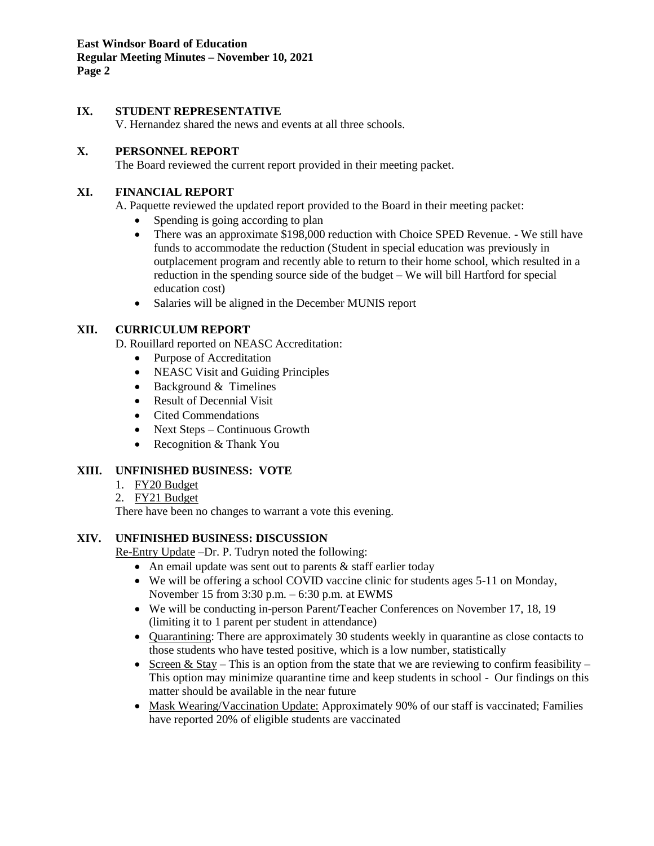**East Windsor Board of Education Regular Meeting Minutes – November 10, 2021 Page 2**

## **IX. STUDENT REPRESENTATIVE**

V. Hernandez shared the news and events at all three schools.

## **X. PERSONNEL REPORT**

The Board reviewed the current report provided in their meeting packet.

## **XI. FINANCIAL REPORT**

A. Paquette reviewed the updated report provided to the Board in their meeting packet:

- Spending is going according to plan
- There was an approximate \$198,000 reduction with Choice SPED Revenue. We still have funds to accommodate the reduction (Student in special education was previously in outplacement program and recently able to return to their home school, which resulted in a reduction in the spending source side of the budget – We will bill Hartford for special education cost)
- Salaries will be aligned in the December MUNIS report

## **XII. CURRICULUM REPORT**

D. Rouillard reported on NEASC Accreditation:

- Purpose of Accreditation
- NEASC Visit and Guiding Principles
- Background & Timelines
- Result of Decennial Visit
- Cited Commendations
- Next Steps Continuous Growth
- Recognition & Thank You

## **XIII. UNFINISHED BUSINESS: VOTE**

- 1. FY20 Budget
- 2. FY21 Budget

There have been no changes to warrant a vote this evening.

## **XIV. UNFINISHED BUSINESS: DISCUSSION**

Re-Entry Update –Dr. P. Tudryn noted the following:

- An email update was sent out to parents  $&$  staff earlier today
- We will be offering a school COVID vaccine clinic for students ages 5-11 on Monday, November 15 from 3:30 p.m. – 6:30 p.m. at EWMS
- We will be conducting in-person Parent/Teacher Conferences on November 17, 18, 19 (limiting it to 1 parent per student in attendance)
- Ouarantining: There are approximately 30 students weekly in quarantine as close contacts to those students who have tested positive, which is a low number, statistically
- Screen & Stay This is an option from the state that we are reviewing to confirm feasibility This option may minimize quarantine time and keep students in school - Our findings on this matter should be available in the near future
- Mask Wearing/Vaccination Update: Approximately 90% of our staff is vaccinated; Families have reported 20% of eligible students are vaccinated